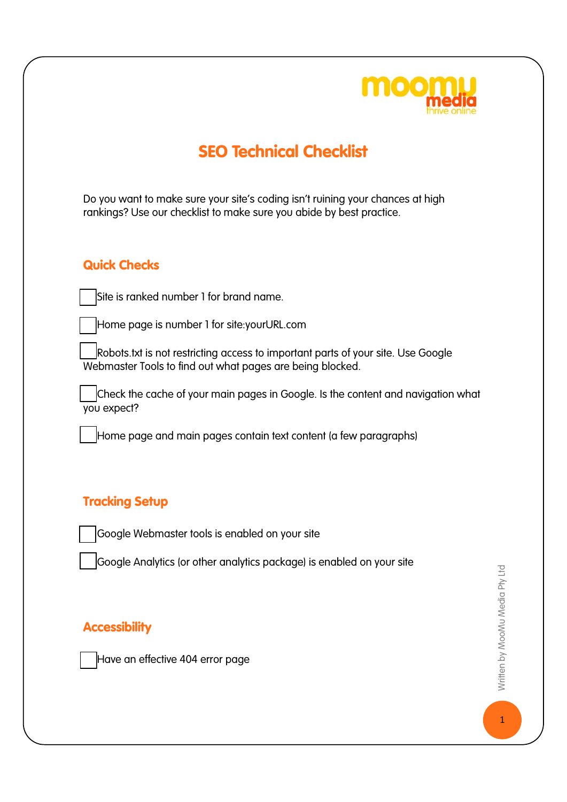

# SEO Technical Checklist

Do you want to make sure your site's coding isn't ruining your chances at high rankings? Use our checklist to make sure you abide by best practice.

### Quick Checks

Site is ranked number 1 for brand name.

Home page is number 1 for site: yourURL.com

Robots.txt is not restricting access to important parts of your site. Use Google Webmaster Tools to find out what pages are being blocked.

Check the cache of your main pages in Google. Is the content and navigation what you expect?

Home page and main pages contain text content (a few paragraphs)

### Tracking Setup

Google Webmaster tools is enabled on your site

Google Analytics (or other analytics package) is enabled on your site

### **Accessibility**

Have an effective 404 error page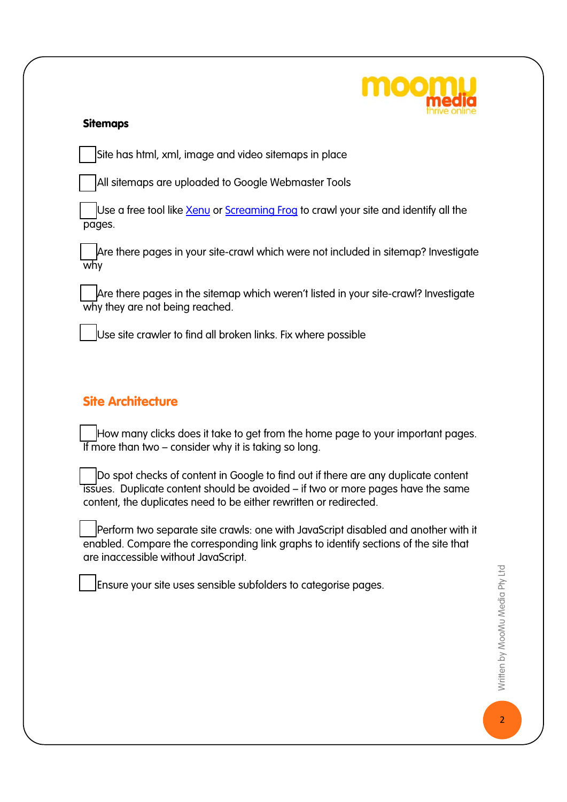

#### Sitemaps

Site has html, xml, image and video sitemaps in place

All sitemaps are uploaded to Google Webmaster Tools

Use a free tool like Xenu or Screaming Frog to crawl your site and identify all the pages.

Are there pages in your site-crawl which were not included in sitemap? Investigate why

Are there pages in the sitemap which weren't listed in your site-crawl? Investigate why they are not being reached.

Use site crawler to find all broken links. Fix where possible

### Site Architecture

How many clicks does it take to get from the home page to your important pages. If more than two  $-$  consider why it is taking so long.

Do spot checks of content in Google to find out if there are any duplicate content issues. Duplicate content should be avoided – if two or more pages have the same content, the duplicates need to be either rewritten or redirected.

Perform two separate site crawls: one with JavaScript disabled and another with it enabled. Compare the corresponding link graphs to identify sections of the site that are inaccessible without JavaScript.

☐ Ensure your site uses sensible subfolders to categorise pages.

Written by MooMu Media Pty Ltd Nritten by MooMu Media Pty Ltd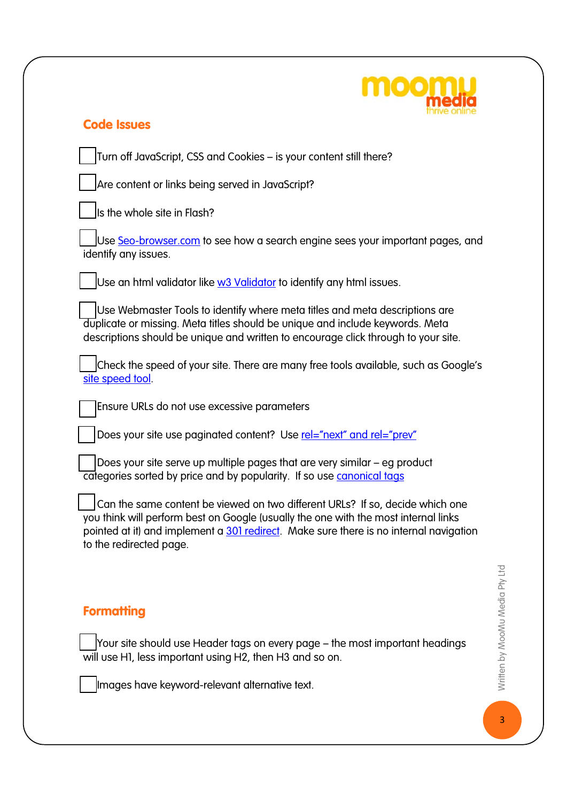

### Code Issues

☐ Turn off JavaScript, CSS and Cookies – is your content still there?

Are content or links being served in JavaScript?

 $\overline{\phantom{a}}$  Is the whole site in Flash?

Use Seo-browser.com to see how a search engine sees your important pages, and identify any issues.

Use an html validator like  $w3$  Validator to identify any html issues.

Use Webmaster Tools to identify where meta titles and meta descriptions are duplicate or missing. Meta titles should be unique and include keywords. Meta descriptions should be unique and written to encourage click through to your site.

Check the speed of your site. There are many free tools available, such as Google's site speed tool.

☐ Ensure URLs do not use excessive parameters

Does your site use paginated content? Use rel="next" and rel="prey"

Does your site serve up multiple pages that are very similar – eg product categories sorted by price and by popularity. If so use canonical tags

Can the same content be viewed on two different URLs? If so, decide which one you think will perform best on Google (usually the one with the most internal links pointed at it) and implement a 301 redirect. Make sure there is no internal navigation to the redirected page.

## **Formatting**

☐ Your site should use Header tags on every page – the most important headings will use H1, less important using H2, then H3 and so on.

Images have keyword-relevant alternative text.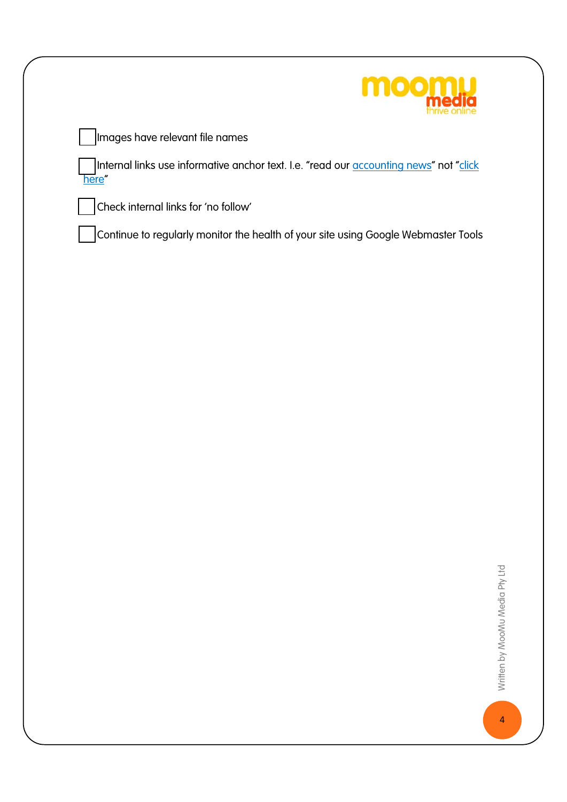

Internal links use informative anchor text. I.e. "read our <u>accounting news</u>" not "<u>click</u> here"

☐ Check internal links for 'no follow'

☐ Continue to regularly monitor the health of your site using Google Webmaster Tools